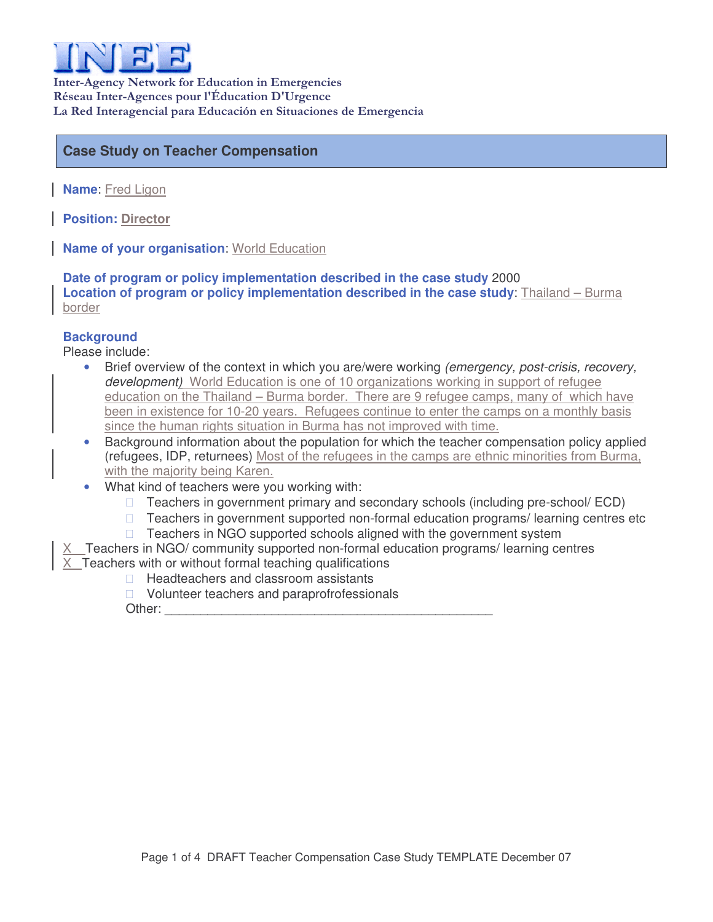

Inter-Agency Network for Education in Emergencies Réseau Inter-Agences pour l'Éducation D'Urgence La Red Interagencial para Educación en Situaciones de Emergencia

## **Case Study on Teacher Compensation**

**Name**: Fred Ligon

**Position: Director**

**Name of your organisation**: World Education

**Date of program or policy implementation described in the case study** 2000 **Location of program or policy implementation described in the case study**: Thailand – Burma border

## **Background**

Please include:

- Brief overview of the context in which you are/were working *(emergency, post-crisis, recovery, development)* World Education is one of 10 organizations working in support of refugee education on the Thailand – Burma border. There are 9 refugee camps, many of which have been in existence for 10-20 years. Refugees continue to enter the camps on a monthly basis since the human rights situation in Burma has not improved with time.
- Background information about the population for which the teacher compensation policy applied (refugees, IDP, returnees) Most of the refugees in the camps are ethnic minorities from Burma, with the majority being Karen.
- What kind of teachers were you working with:

 Teachers in government primary and secondary schools (including pre-school/ ECD) Teachers in government supported non-formal education programs/ learning centres etc Teachers in NGO supported schools aligned with the government system

|  | $X$ Teachers in NGO/ community supported non-formal education programs/ learning centres |  |
|--|------------------------------------------------------------------------------------------|--|
|  |                                                                                          |  |

 $X$  Teachers with or without formal teaching qualifications

Headteachers and classroom assistants

Volunteer teachers and paraprofrofessionals

Other: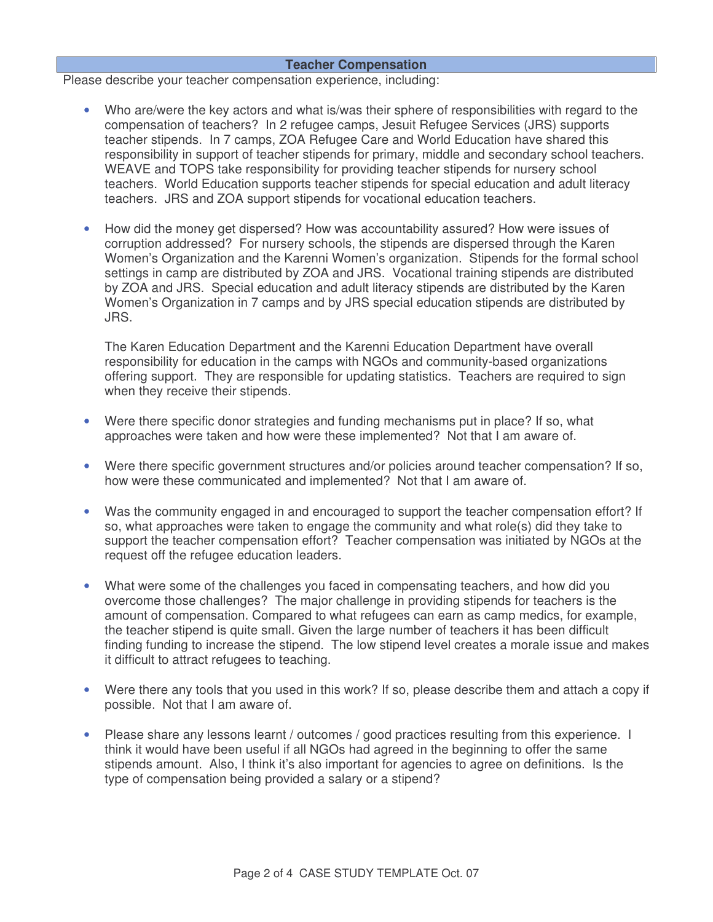## **Teacher Compensation**

Please describe your teacher compensation experience, including:

- Who are/were the key actors and what is/was their sphere of responsibilities with regard to the compensation of teachers? In 2 refugee camps, Jesuit Refugee Services (JRS) supports teacher stipends. In 7 camps, ZOA Refugee Care and World Education have shared this responsibility in support of teacher stipends for primary, middle and secondary school teachers. WEAVE and TOPS take responsibility for providing teacher stipends for nursery school teachers. World Education supports teacher stipends for special education and adult literacy teachers. JRS and ZOA support stipends for vocational education teachers.
- How did the money get dispersed? How was accountability assured? How were issues of corruption addressed? For nursery schools, the stipends are dispersed through the Karen Women's Organization and the Karenni Women's organization. Stipends for the formal school settings in camp are distributed by ZOA and JRS. Vocational training stipends are distributed by ZOA and JRS. Special education and adult literacy stipends are distributed by the Karen Women's Organization in 7 camps and by JRS special education stipends are distributed by JRS.

The Karen Education Department and the Karenni Education Department have overall responsibility for education in the camps with NGOs and community-based organizations offering support. They are responsible for updating statistics. Teachers are required to sign when they receive their stipends.

- Were there specific donor strategies and funding mechanisms put in place? If so, what approaches were taken and how were these implemented? Not that I am aware of.
- Were there specific government structures and/or policies around teacher compensation? If so, how were these communicated and implemented? Not that I am aware of.
- Was the community engaged in and encouraged to support the teacher compensation effort? If so, what approaches were taken to engage the community and what role(s) did they take to support the teacher compensation effort? Teacher compensation was initiated by NGOs at the request off the refugee education leaders.
- What were some of the challenges you faced in compensating teachers, and how did you overcome those challenges? The major challenge in providing stipends for teachers is the amount of compensation. Compared to what refugees can earn as camp medics, for example, the teacher stipend is quite small. Given the large number of teachers it has been difficult finding funding to increase the stipend. The low stipend level creates a morale issue and makes it difficult to attract refugees to teaching.
- Were there any tools that you used in this work? If so, please describe them and attach a copy if possible. Not that I am aware of.
- Please share any lessons learnt / outcomes / good practices resulting from this experience. I think it would have been useful if all NGOs had agreed in the beginning to offer the same stipends amount. Also, I think it's also important for agencies to agree on definitions. Is the type of compensation being provided a salary or a stipend?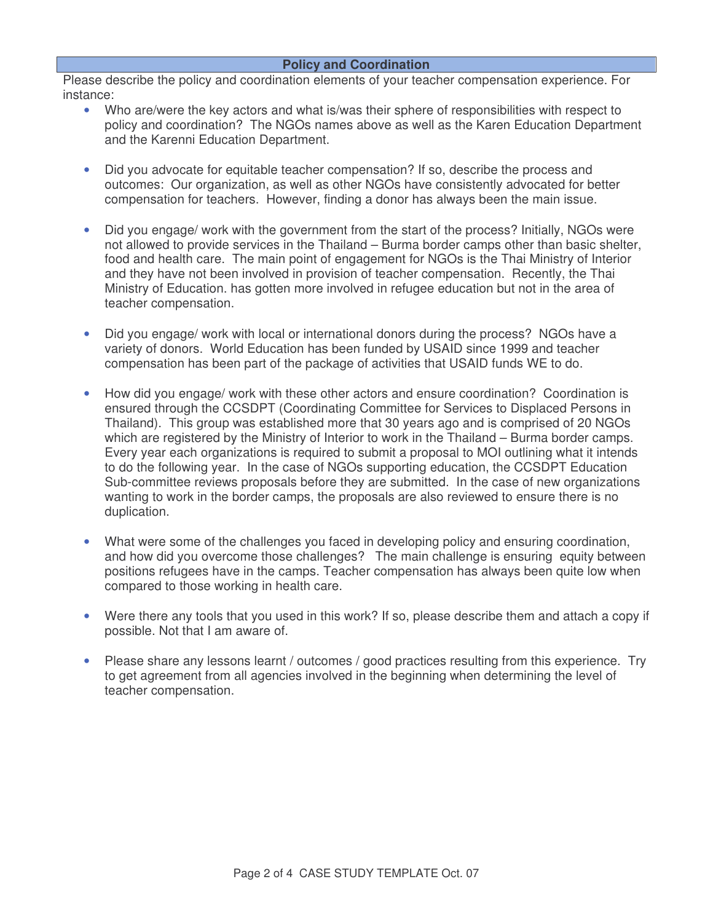Please describe the policy and coordination elements of your teacher compensation experience. For instance:

- Who are/were the key actors and what is/was their sphere of responsibilities with respect to policy and coordination? The NGOs names above as well as the Karen Education Department and the Karenni Education Department.
- Did you advocate for equitable teacher compensation? If so, describe the process and outcomes: Our organization, as well as other NGOs have consistently advocated for better compensation for teachers. However, finding a donor has always been the main issue.
- Did you engage/ work with the government from the start of the process? Initially, NGOs were not allowed to provide services in the Thailand – Burma border camps other than basic shelter, food and health care. The main point of engagement for NGOs is the Thai Ministry of Interior and they have not been involved in provision of teacher compensation. Recently, the Thai Ministry of Education. has gotten more involved in refugee education but not in the area of teacher compensation.
- Did you engage/ work with local or international donors during the process? NGOs have a variety of donors. World Education has been funded by USAID since 1999 and teacher compensation has been part of the package of activities that USAID funds WE to do.
- How did you engage/ work with these other actors and ensure coordination? Coordination is ensured through the CCSDPT (Coordinating Committee for Services to Displaced Persons in Thailand). This group was established more that 30 years ago and is comprised of 20 NGOs which are registered by the Ministry of Interior to work in the Thailand – Burma border camps. Every year each organizations is required to submit a proposal to MOI outlining what it intends to do the following year. In the case of NGOs supporting education, the CCSDPT Education Sub-committee reviews proposals before they are submitted. In the case of new organizations wanting to work in the border camps, the proposals are also reviewed to ensure there is no duplication.
- What were some of the challenges you faced in developing policy and ensuring coordination, and how did you overcome those challenges? The main challenge is ensuring equity between positions refugees have in the camps. Teacher compensation has always been quite low when compared to those working in health care.
- Were there any tools that you used in this work? If so, please describe them and attach a copy if possible. Not that I am aware of.
- Please share any lessons learnt / outcomes / good practices resulting from this experience. Try to get agreement from all agencies involved in the beginning when determining the level of teacher compensation.